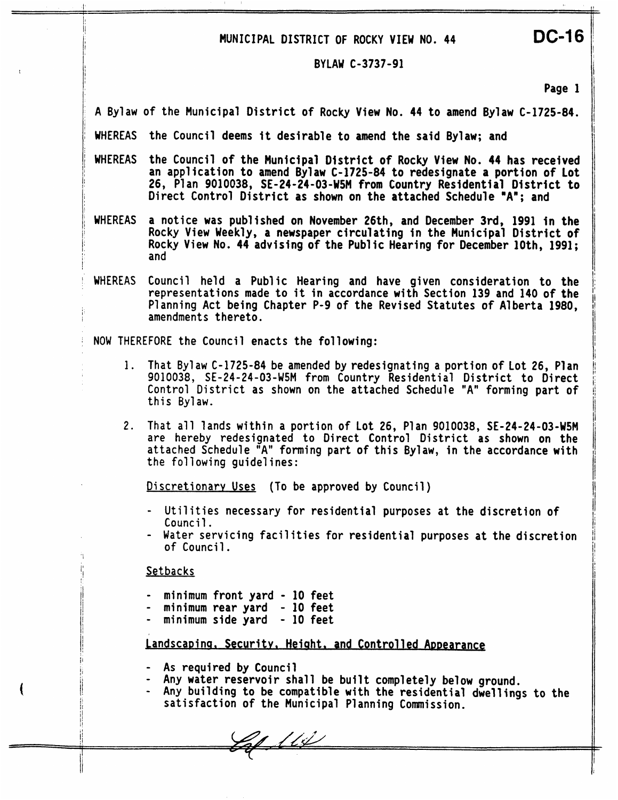# **MUNICIPAL DISTRICT OF ROCKY VIEW NO. <sup>44</sup>DC-16**

### **BYLAW C-3737-91**

**Page 1** 

**A Bylaw** of **the Municipal District of Rocky View No. 44 to amend Bylaw C-1725-84.** 

<sup>I</sup>**WHEREAS the Council deems it desirable to amend the said Bylaw; and** 

- WHEREAS the Council of the Municipal District of Rocky View No. 44 has received an application to amend Bylaw C-1725-84 to redesignate a portion of Lot 26, Plan 9010038, SE-24-24-03-W5M from Country Residential District to <sup>I</sup>**Direct Control District as shown on the attached Schedule "A"; and**
- i **WHEREAS a notice was published on November 26th, and December 3rd, 1991 in the**  Rocky View No. 44 advising of the Public Hearing for December 10th, 1991; and
- WHEREAS Council held a Public Hearing and have given consideration to the representations made to it in accordance with Section 139 and 140 of the Planning Act being Chapter P-9 of the Revised Statutes of Alberta 1980, amendments thereto.

<sup>j</sup>**NOW THEREFORE the Council enacts the following:** 

- **1. That Bylaw C-1725-84 be amended by redesignating a portion of Lot 26, Plan 9010038, SE-24-24-03-W5M from Country Residential District to Direct Control District as shown on the attached Schedule "A" forming part of this Bylaw.**
- **2. That all lands within a portion of Lot 26, Plan 9010038, SE-24-24-03-W5M are hereby redesignated to Direct Control District as shown on the attached Schedule "A" forming part of this Bylaw, in the accordance with the following guidelines:**

**Discretionary Uses (To be approved by Council)** 

- Utilities necessary for residential purposes at the discretion of **Council.**
- **Water servicing facilities for residential purposes at the discretion**  of **Council** . ,

1; **Setbacks** <sup>I</sup>

I' I1 /I

iI

ii I!  $\mathbf{I}$ li

/I

I į.

I

- **minimum front yard 10 feet**
- **minimum rear yard 10 feet**
- **minimum side yard 10 feet**

## Landscaping, Security, Height, and Controlled Appearance

- **4 As required by Council**<br>**2** Any water reservoir sha
- **Any water reservoir shall be built completely below ground.**
- **Any building to be compatible with the residential dwellings to the satisfaction of the Municipal Planning Commission.**

Laf 111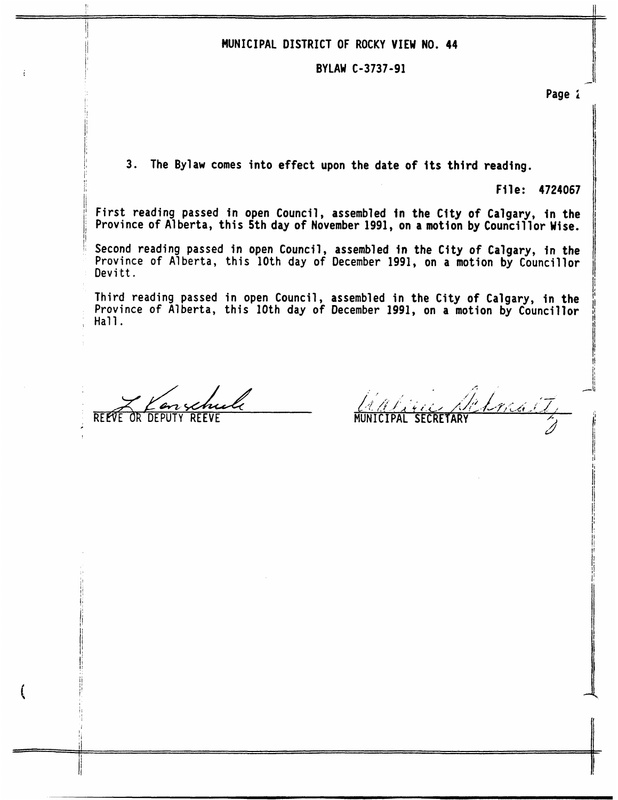#### **MUNICIPAL DISTRICT OF ROCKY VIEW NO. 44**

## , I **BYLAW C-3737-91**

<sup>1</sup>**Page i** 

I

 $\overline{\mathcal{L}}$ 

**11** 

3. The Bylaw comes into effect upon the date of its third reading.

File: 4724067

First reading passed in open Council, assembled in the City of Calgary, in the Province of Alberta, this 5th day of November 1991, on a motion by Councillor Wise.

Second reading passed in open Council, assembled in the City of Calgary, in the Province of Alberta, this 10th day of December 1991, on a motion by Councillor **Devitt.** 

**Third reading passed in open Council, assembled in the City of Calgary, in the I' Province of Alberta, this 10th day of December 1991, on a motion by Councillor** !I , **Hall.** 

*t/&* **az**  REEfE **OR-** DEPUTY **REEVE** .

I

'I Ii

I

**c.**  $\mathcal{L} = \{x_1, \ldots, x_n\}$ *I'* **I**